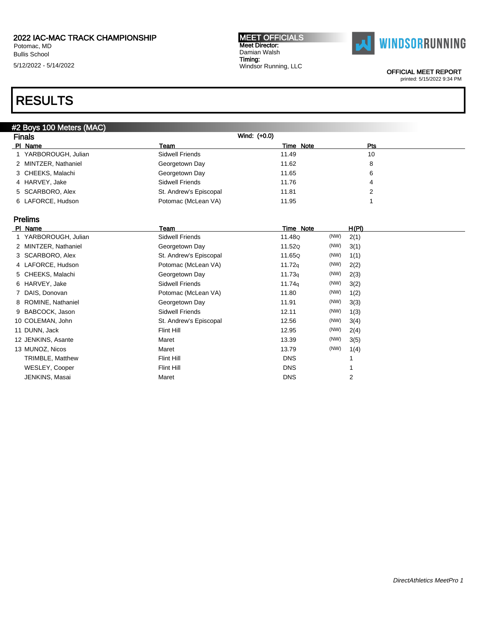Potomac, MD Bullis School 5/12/2022 - 5/14/2022

#### MEET OFFICIALS Meet Director: Damian Walsh Timing: Windsor Running, LLC



OFFICIAL MEET REPORT

printed: 5/15/2022 9:34 PM

| <b>Finals</b>        |                        | Wind: (+0.0) |            |  |
|----------------------|------------------------|--------------|------------|--|
| PI Name              | Team                   | Time Note    | <b>Pts</b> |  |
| 1 YARBOROUGH, Julian | Sidwell Friends        | 11.49        | 10         |  |
| 2 MINTZER, Nathaniel | Georgetown Day         | 11.62        | 8          |  |
| 3 CHEEKS, Malachi    | Georgetown Day         | 11.65        | 6          |  |
| 4 HARVEY, Jake       | Sidwell Friends        | 11.76        | 4          |  |
| 5 SCARBORO, Alex     | St. Andrew's Episcopal | 11.81        | 2          |  |
| 6 LAFORCE, Hudson    | Potomac (McLean VA)    | 11.95        |            |  |

| PI Name         |                      | Team                   | Time Note  |      | H(PI) |
|-----------------|----------------------|------------------------|------------|------|-------|
|                 | 1 YARBOROUGH, Julian | Sidwell Friends        | 11.48Q     | (NW) | 2(1)  |
|                 | 2 MINTZER, Nathaniel | Georgetown Day         | 11.52Q     | (NW) | 3(1)  |
|                 | 3 SCARBORO, Alex     | St. Andrew's Episcopal | 11.65Q     | (NW) | 1(1)  |
|                 | 4 LAFORCE, Hudson    | Potomac (McLean VA)    | 11.72q     | (NW) | 2(2)  |
|                 | 5 CHEEKS, Malachi    | Georgetown Day         | 11.73q     | (NW) | 2(3)  |
| 6 HARVEY, Jake  |                      | Sidwell Friends        | 11.74g     | (NW) | 3(2)  |
| 7 DAIS, Donovan |                      | Potomac (McLean VA)    | 11.80      | (NW) | 1(2)  |
|                 | 8 ROMINE, Nathaniel  | Georgetown Day         | 11.91      | (NW) | 3(3)  |
|                 | 9 BABCOCK, Jason     | Sidwell Friends        | 12.11      | (NW) | 1(3)  |
|                 | 10 COLEMAN, John     | St. Andrew's Episcopal | 12.56      | (NW) | 3(4)  |
| 11 DUNN, Jack   |                      | Flint Hill             | 12.95      | (NW) | 2(4)  |
|                 | 12 JENKINS, Asante   | Maret                  | 13.39      | (NW) | 3(5)  |
| 13 MUNOZ, Nicos |                      | Maret                  | 13.79      | (NW) | 1(4)  |
|                 | TRIMBLE, Matthew     | Flint Hill             | <b>DNS</b> |      |       |
|                 | WESLEY, Cooper       | Flint Hill             | <b>DNS</b> |      |       |
|                 | JENKINS, Masai       | Maret                  | <b>DNS</b> |      | 2     |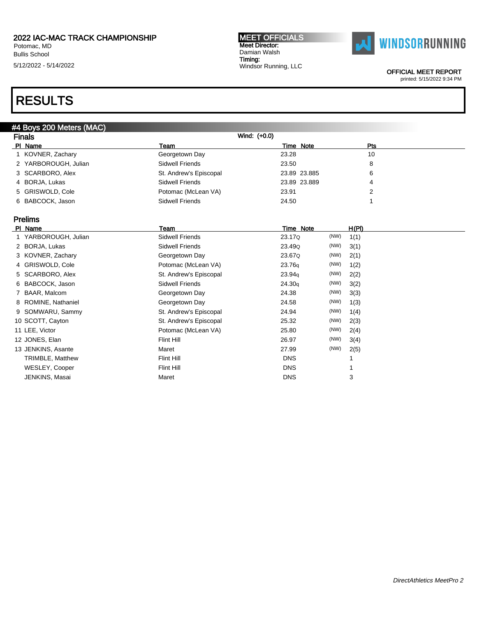Potomac, MD Bullis School 5/12/2022 - 5/14/2022

#### MEET OFFICIALS Meet Director: Damian Walsh Timing: Windsor Running, LLC



OFFICIAL MEET REPORT

### printed: 5/15/2022 9:34 PM

| #4 Boys 200 Meters (MAC) |                        |              |              |  |
|--------------------------|------------------------|--------------|--------------|--|
| <b>Finals</b>            |                        | Wind: (+0.0) |              |  |
| PI Name                  | Team                   | Time Note    | Pts          |  |
| 1 KOVNER, Zachary        | Georgetown Day         | 23.28        | 10           |  |
| 2 YARBOROUGH, Julian     | <b>Sidwell Friends</b> | 23.50        | 8            |  |
| 3 SCARBORO, Alex         | St. Andrew's Episcopal | 23.89 23.885 | 6            |  |
| 4 BORJA, Lukas           | <b>Sidwell Friends</b> | 23.89 23.889 | 4            |  |
| 5 GRISWOLD, Cole         | Potomac (McLean VA)    | 23.91        | 2            |  |
| 6 BABCOCK, Jason         | <b>Sidwell Friends</b> | 24.50        |              |  |
| <b>Prelims</b>           |                        |              |              |  |
| PI Name                  | Team                   | Time Note    | H(PI)        |  |
| 1 YARBOROUGH, Julian     | <b>Sidwell Friends</b> | 23.17Q       | (NW)<br>1(1) |  |
| 2 BORJA, Lukas           | <b>Sidwell Friends</b> | 23.49Q       | (NW)<br>3(1) |  |
| 3 KOVNER, Zachary        | Georgetown Day         | 23.67Q       | (NW)<br>2(1) |  |
| 4 GRISWOLD, Cole         | Potomac (McLean VA)    | 23.76q       | (NW)<br>1(2) |  |
| 5 SCARBORO, Alex         | St. Andrew's Episcopal | 23.94g       | (NW)<br>2(2) |  |
| 6 BABCOCK, Jason         | Sidwell Friends        | 24.30g       | (NW)<br>3(2) |  |
| 7 BAAR, Malcom           | Georgetown Day         | 24.38        | (NW)<br>3(3) |  |
| 8 ROMINE, Nathaniel      | Georgetown Day         | 24.58        | (NW)<br>1(3) |  |
| 9 SOMWARU, Sammy         | St. Andrew's Episcopal | 24.94        | (NW)<br>1(4) |  |
| 10 SCOTT, Cayton         | St. Andrew's Episcopal | 25.32        | (NW)<br>2(3) |  |
| 11 LEE, Victor           | Potomac (McLean VA)    | 25.80        | (NW)<br>2(4) |  |
| 12 JONES, Elan           | <b>Flint Hill</b>      | 26.97        | (NW)<br>3(4) |  |
| 13 JENKINS, Asante       | Maret                  | 27.99        | (NW)<br>2(5) |  |
| <b>TRIMBLE, Matthew</b>  | Flint Hill             | <b>DNS</b>   | 1            |  |
| WESLEY, Cooper           | Flint Hill             | <b>DNS</b>   |              |  |
| JENKINS, Masai           | Maret                  | <b>DNS</b>   | 3            |  |
|                          |                        |              |              |  |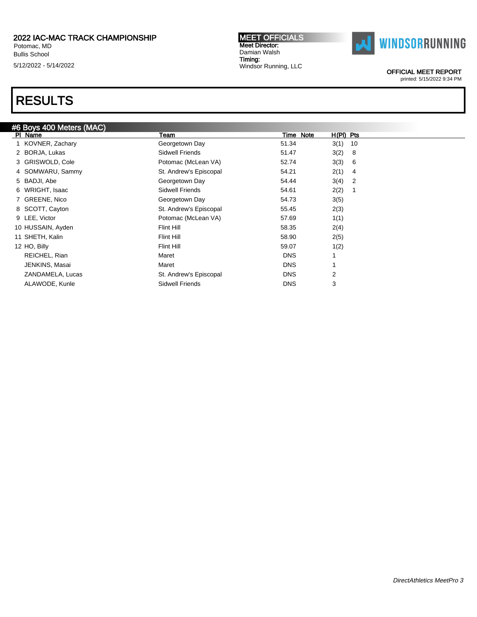Potomac, MD Bullis School 5/12/2022 - 5/14/2022

## RESULTS

| #6 Boys 400 Meters (MAC) |                        |            |             |  |
|--------------------------|------------------------|------------|-------------|--|
| PI Name                  | Team                   | Time Note  | $H(PI)$ Pts |  |
| 1 KOVNER, Zachary        | Georgetown Day         | 51.34      | 3(1)<br>10  |  |
| 2 BORJA, Lukas           | Sidwell Friends        | 51.47      | 3(2)<br>8   |  |
| 3 GRISWOLD, Cole         | Potomac (McLean VA)    | 52.74      | 3(3)<br>6   |  |
| 4 SOMWARU, Sammy         | St. Andrew's Episcopal | 54.21      | 2(1)<br>4   |  |
| 5 BADJI, Abe             | Georgetown Day         | 54.44      | 3(4)<br>2   |  |
| 6 WRIGHT, Isaac          | Sidwell Friends        | 54.61      | 2(2)        |  |
| 7 GREENE, Nico           | Georgetown Day         | 54.73      | 3(5)        |  |
| 8 SCOTT, Cayton          | St. Andrew's Episcopal | 55.45      | 2(3)        |  |
| 9 LEE, Victor            | Potomac (McLean VA)    | 57.69      | 1(1)        |  |
| 10 HUSSAIN, Ayden        | Flint Hill             | 58.35      | 2(4)        |  |
| 11 SHETH, Kalin          | Flint Hill             | 58.90      | 2(5)        |  |
| 12 HO, Billy             | Flint Hill             | 59.07      | 1(2)        |  |
| REICHEL, Rian            | Maret                  | <b>DNS</b> |             |  |
| JENKINS, Masai           | Maret                  | <b>DNS</b> |             |  |
| ZANDAMELA, Lucas         | St. Andrew's Episcopal | <b>DNS</b> | 2           |  |
| ALAWODE, Kunle           | Sidwell Friends        | <b>DNS</b> | 3           |  |
|                          |                        |            |             |  |

MEET OFFICIALS Meet Director: Damian Walsh Timing:

Windsor Running, LLC



OFFICIAL MEET REPORT

printed: 5/15/2022 9:34 PM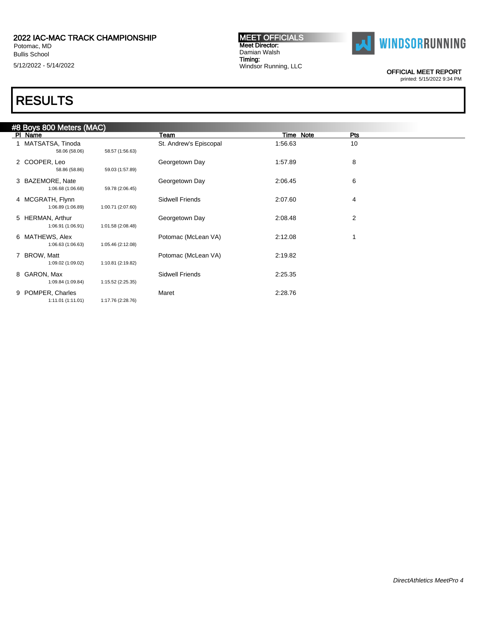Bullis School

5/12/2022 - 5/14/2022

#### MEET OFFICIALS Meet Director: Damian Walsh Timing: Windsor Running, LLC



OFFICIAL MEET REPORT

printed: 5/15/2022 9:34 PM

|   | #8 Boys 800 Meters (MAC)              |                   |                        |           |                |  |
|---|---------------------------------------|-------------------|------------------------|-----------|----------------|--|
|   | PI Name                               |                   | Team                   | Time Note | Pts            |  |
|   | 1 MATSATSA, Tinoda<br>58.06 (58.06)   | 58.57 (1:56.63)   | St. Andrew's Episcopal | 1:56.63   | 10             |  |
|   | 2 COOPER, Leo<br>58.86 (58.86)        | 59.03 (1:57.89)   | Georgetown Day         | 1:57.89   | 8              |  |
|   | 3 BAZEMORE, Nate<br>1:06.68 (1:06.68) | 59.78 (2:06.45)   | Georgetown Day         | 2:06.45   | 6              |  |
|   | 4 MCGRATH, Flynn<br>1:06.89 (1:06.89) | 1:00.71 (2:07.60) | Sidwell Friends        | 2:07.60   | 4              |  |
|   | 5 HERMAN, Arthur<br>1:06.91 (1:06.91) | 1:01.58 (2:08.48) | Georgetown Day         | 2:08.48   | $\overline{2}$ |  |
|   | 6 MATHEWS, Alex<br>1:06.63 (1:06.63)  | 1:05.46 (2:12.08) | Potomac (McLean VA)    | 2:12.08   |                |  |
|   | 7 BROW, Matt<br>1:09.02 (1:09.02)     | 1:10.81 (2:19.82) | Potomac (McLean VA)    | 2:19.82   |                |  |
|   | 8 GARON, Max<br>1:09.84 (1:09.84)     | 1:15.52 (2:25.35) | Sidwell Friends        | 2:25.35   |                |  |
| 9 | POMPER, Charles<br>1:11.01(1:11.01)   | 1:17.76 (2:28.76) | Maret                  | 2:28.76   |                |  |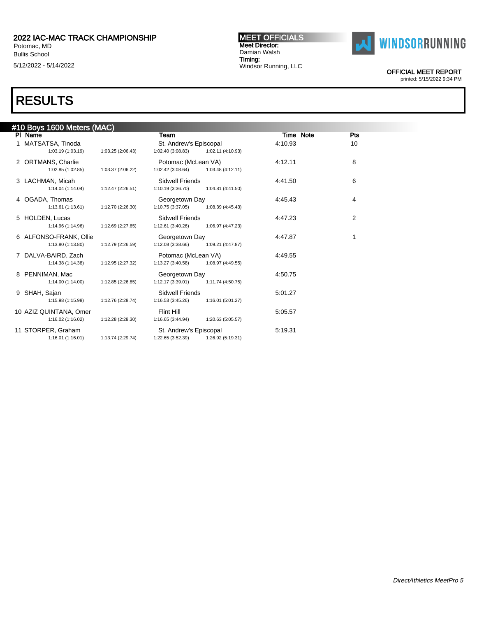### 2022 IAC-MAC TRACK CHAMPIONSHIP Potomac, MD Bullis School

5/12/2022 - 5/14/2022

# RESULTS

### #10 Boys 1600 Meters (MAC) PI Name **The Properties of the Properties of Time Note** Properties and Time Note Properties Properties and Time Note Properties and Properties and Properties and Properties and Properties and Properties and Properties and 1 MATSATSA, Tinoda 61.03.19 10 St. Andrew's Episcopal 4:10.93 10<br>1:03.19 (1:03.19) 1:03.25 (2:06.43) 1:02.40 (3:08.83) 1:02.11 (4:10.93) 1:03.19 (1:03.19) 1:03.25 (2:06.43) 1:02.40 (3:08.83) 1:02.11 (4:10.93) 2 ORTMANS, Charlie **12.11 12.11 12.11** Potomac (McLean VA) 4:12.11 3 1:02.85 (1:02.85) 1:03.37 (2:06.22) 1:02.42 (3:08.64) 1:03.48 (4:12.11) 3 LACHMAN, Micah 6<br>1:14.04 (1:14.04) 1:12.47 (2:26.51) 1:10.19 (3:36.70) 1:04.81 (4:41.50 1:04.61 (4:41.50) 1:14.04 (1:14.04) 1:12.47 (2:26.51) 1:10.19 (3:36.70) 1:04.81 (4:41.50) 4 OGADA, Thomas **Access 1:45.43** 4 OGADA, Thomas **4:45.43** 4:45.43 1:13.61 (1:13.61) 1:12.70 (2:26.30) 1:10.75 (3:37.05) 1:08.39 (4:45.43) 5 HOLDEN, Lucas 2 Contract Contract Contract Sidwell Friends 3 2 At 417.23 2 2 2 1:14.96 (1:14.96) 1:12.69 (2:27.65) 1:12.61 (3:40.26) 1:06.97 (4:47.23) 6 ALFONSO-FRANK, Ollie Georgetown Day 4:47.87 1 1:13.80 (1:13.80) 1:12.79 (2:26.59) 1:12.08 (3:38.66) 7 DALVA-BAIRD, Zach Potomac (McLean VA) 4:49.55 1:14.38 (1:14.38) 1:12.95 (2:27.32) 1:13.27 (3:40.58) 1:08.97 (4:49.55) 8 PENNIMAN, Mac Georgetown Day 4:50.75<br>1:14.00 (1:14.00) 1:12.85 (2:26.85) 1:12.17 (3:39.01) 1:11.74 (4:50.75)  $1:12.17(3:39.01)$ 9 SHAH, Sajan Sidwell Friends 5:01.27<br>1:15.98 (1:15.98) 1:12.76 (2:28.74) 1:16.53 (3:45.26) 1:16.01 (5:01.27) 1:12.76 (2:28.74) 10 AZIZ QUINTANA, Omer Flint Hill 5:05.57<br>1:16.02 (1:16.02) 1:12.28 (2:28.30) 1:16.65 (3:44.94) 1:20.63 (5:05.57) 1:12.28 (2:28.30) 11 STORPER, Graham St. Andrew's Episcopal 5:19.31<br>1:16.01 (1:16.01) 1:13.74 (2:29.74) 1:22.65 (3:52.39) 1:26.92 (5:19.31) 1:22.65 (3:52.39)

OFFICIAL MEET REPORT

printed: 5/15/2022 9:34 PM

MEET OFFICIALS Meet Director: Damian Walsh Timing: Windsor Running, LLC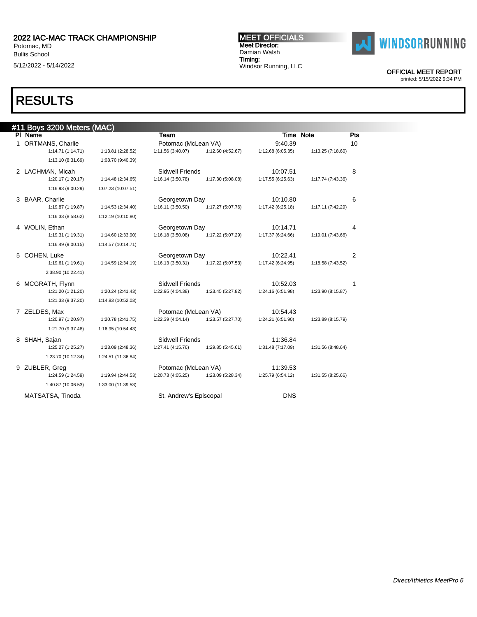### 2022 IAC-MAC TRACK CHAMPIONSHIP Potomac, MD Bullis School

5/12/2022 - 5/14/2022

## RESULTS

### #11 Boys 3200 Meters (MAC) PI Name **The Properties of the Properties of Time Note** Properties and Time Note Properties Properties and Time Note Properties and Properties and Properties and Properties and Properties and Properties and Properties and 1 ORTMANS, Charlie 114.71 Potomac (McLean VA) 9:40.39 10<br>1:14.71 1:14.71 1:13.81 (2:28.52) 1:11.56 (3:40.07) 1:12.60 (4:52.67) 1:12.68 (6:05.35) 1:13.25 (7:18.60) 1:14.71 (1:14.71) 1:13.81 (2:28.52) 1:11.56 (3:40.07) 1:13.10 (8:31.69) 1:08.70 (9:40.39) 2 LACHMAN, Micah 31:20.17 (1:20.17) 1:14.48 (2:34.65) 31:16.14 (3:50.78) 1:17.30 (5:08.08) 1:17.55 (6:25.63) 1:17.74 (7:43.36) 1:14.48 (2:34.65) 1:16.93 (9:00.29) 1:07.23 (10:07.51) 3 BAAR, Charlie Charlie Georgetown Day 10:10.80 6 1:19.87 (1:19.87) 1:14.53 (2:34.40) 1:16.11 (3:50.50) 1:17.27 (5:07.76) 1:17.42 (6:25.18) 1:17.11 (7:42.29) 1:16.33 (8:58.62) 1:12.19 (10:10.80) 4 WOLIN, Ethan **Georgetown Day** Georgetown Day 10:14.71 19:31 (1:19.31) 1:14.60 (2:33.90) 1:16.18 (3:50.08) 1:17.22 (5:07.29) 1:17.37 (6:24.66) 1:19.01 (7:43.66) 1:14.60 (2:33.90) 1:16.49 (9:00.15) 1:14.57 (10:14.71) 5 COHEN, Luke Contract Communication Contractor Georgetown Day Communication 10:22.41 2 1:19.61 (1:19.61) 1:14.59 (2:34.19) 1:16.13 (3:50.31) 1:17.22 (5:07.53) 1:17.42 (6:24.95) 1:18.58 (7:43.52) 2:38.90 (10:22.41) 6 MCGRATH, Flynn 1:21.20 1:22.24 (2:41.43) 5 (4:04.38) 5 (4:2.45 (5:27.82) 6 (5:27.82) 5 (4:31.98) 6 (5:27.82) 6 (5:27.82) 5 (5:27.82) 5 (5:27.82) 6 (5:27.82) 5 (5:27.82) 5 (5:27.82) 6 (5:27.82) 6 (5:27.82) 5 (5:27.82) 6 ( 1:21.20 (1:21.20) 1:20.24 (2:41.43) 1:22.95 (4:04.38) 1:23.45 (5:27.82) 1:24.16 (6:51.98) 1:23.90 (8:15.87) 1:21.33 (9:37.20) 1:14.83 (10:52.03) 7 ZELDES, Max 10:54.43<br>120.97 (1:20.97) 1:20.78 (2:41.75) 1:22.39 (4:04.14) 1:23.57 (5:27.70) 1:24.21 (6:51.90) 1:20.97 (1:20.97) 1:20.78 (2:41.75) 1:22.39 (4:04.14) 1:23.57 (5:27.70) 1:24.21 (6:51.90) 1:23.89 (8:15.79) 1:21.70 (9:37.48) 1:16.95 (10:54.43) 8 SHAH, Sajan Sidwell Friends 11:36.84 1:25.27 (1:25.27) 1:23.09 (2:48.36) 1:27.41 (4:15.76) 1:29.85 (5:45.61) 1:31.48 (7:17.09) 1:31.56 (8:48.64) 1:23.70 (10:12.34) 1:24.51 (11:36.84) 9 ZUBLER, Greg Potomac (McLean VA) 11:39.53 1:24.59 (1:24.59) 1:19.94 (2:44.53) 1:20.73 (4:05.25) 1:23.09 (5:28.34) 1:25.79 (6:54.12) 1:31.55 (8:25.66) 1:40.87 (10:06.53) 1:33.00 (11:39.53) MATSATSA, Tinoda **St. Andrew's Episcopal** DNS

MEET OFFICIALS Meet Director: Damian Walsh Timing: Windsor Running, LLC



OFFICIAL MEET REPORT

printed: 5/15/2022 9:34 PM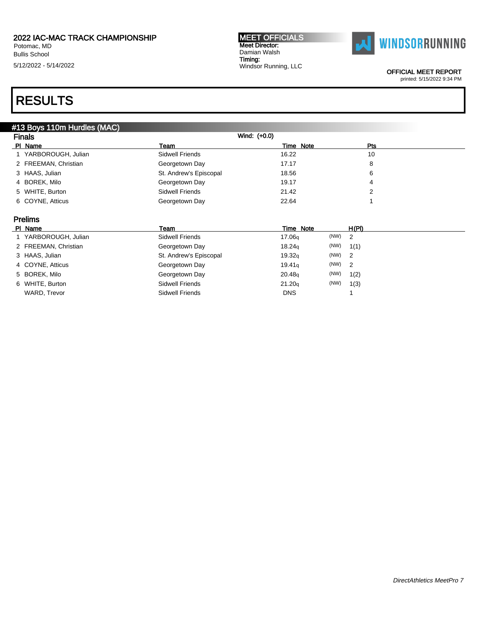Potomac, MD Bullis School 5/12/2022 - 5/14/2022 MEET OFFICIALS Meet Director: Damian Walsh Timing: Windsor Running, LLC



OFFICIAL MEET REPORT

### printed: 5/15/2022 9:34 PM

## RESULTS

| #13 Boys 110m Hurdles (MAC) |                        |                    |           |       |  |
|-----------------------------|------------------------|--------------------|-----------|-------|--|
| <b>Finals</b>               |                        | Wind: (+0.0)       |           |       |  |
| PI Name                     | Team                   | Time Note          |           | Pts   |  |
| 1 YARBOROUGH, Julian        | Sidwell Friends        | 16.22              |           | 10    |  |
| 2 FREEMAN, Christian        | Georgetown Day         | 17.17              |           | 8     |  |
| 3 HAAS, Julian              | St. Andrew's Episcopal | 18.56              |           | 6     |  |
| 4 BOREK, Milo               | Georgetown Day         | 19.17              |           | 4     |  |
| 5 WHITE, Burton             | Sidwell Friends        | 21.42              |           | 2     |  |
| 6 COYNE, Atticus            | Georgetown Day         | 22.64              |           |       |  |
|                             |                        |                    |           |       |  |
| <b>Prelims</b>              |                        |                    |           |       |  |
| PI Name                     | Team                   | Time Note          |           | H(PI) |  |
| 1 YARBOROUGH, Julian        | Sidwell Friends        | 17.06 <sub>g</sub> | (NW)<br>2 |       |  |
| 2 FREEMAN, Christian        | Georgetown Day         | 18.24 <sub>q</sub> | (NW)      | 1(1)  |  |
| 3 HAAS, Julian              | St. Andrew's Episcopal | 19.32q             | (NW)<br>2 |       |  |
| 4 COYNE, Atticus            | Georgetown Day         | 19.41q             | (NW)<br>2 |       |  |
| 5 BOREK, Milo               | Georgetown Day         | 20.48q             | (NW)      | 1(2)  |  |
| 6 WHITE, Burton             | Sidwell Friends        | 21.20q             | (NW)      | 1(3)  |  |

WARD, Trevor **Sidwell Friends** DNS 1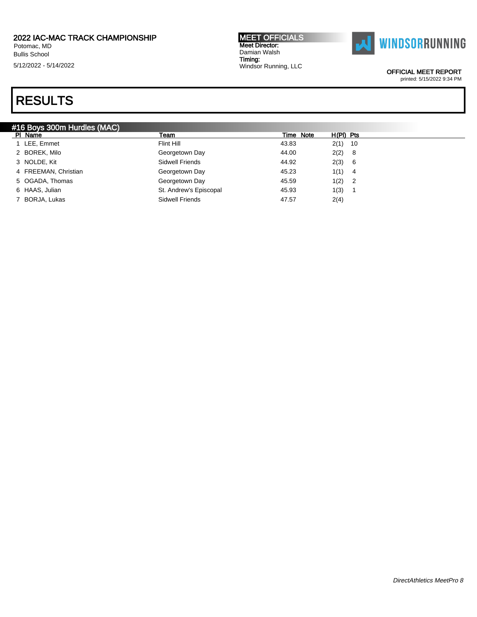Potomac, MD Bullis School 5/12/2022 - 5/14/2022 MEET OFFICIALS Meet Director: Damian Walsh Timing: Windsor Running, LLC



OFFICIAL MEET REPORT

printed: 5/15/2022 9:34 PM

| #16 Boys 300m Hurdles (MAC) |                        |           |             |                            |
|-----------------------------|------------------------|-----------|-------------|----------------------------|
| PI Name                     | Team                   | Time Note | $H(PI)$ Pts |                            |
| 1 LEE, Emmet                | Flint Hill             | 43.83     | 2(1)        | 10                         |
| 2 BOREK, Milo               | Georgetown Day         | 44.00     | 2(2)        | - 8                        |
| 3 NOLDE, Kit                | Sidwell Friends        | 44.92     | 2(3)        | - 6                        |
| 4 FREEMAN, Christian        | Georgetown Day         | 45.23     | 1(1)        | -4                         |
| 5 OGADA, Thomas             | Georgetown Day         | 45.59     | 1(2)        | $\overline{\phantom{0}}^2$ |
| 6 HAAS, Julian              | St. Andrew's Episcopal | 45.93     | 1(3)        |                            |
| 7 BORJA, Lukas              | Sidwell Friends        | 47.57     | 2(4)        |                            |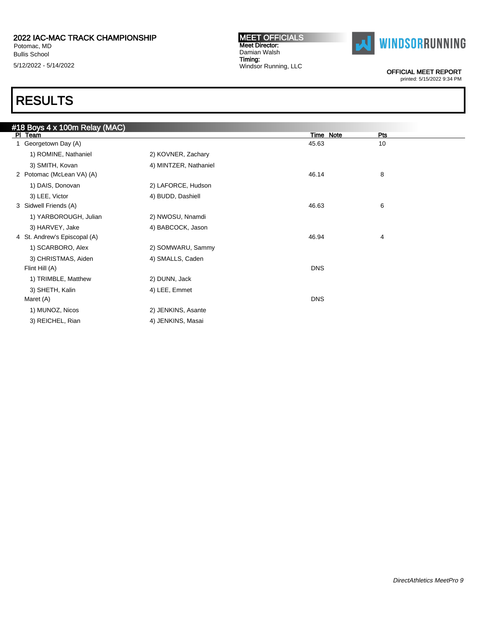### 2022 IAC-MAC TRACK CHAMPIONSHIP Potomac, MD Bullis School

5/12/2022 - 5/14/2022

#### MEET OFFICIALS Meet Director: Damian Walsh Timing: Windsor Running, LLC



OFFICIAL MEET REPORT

printed: 5/15/2022 9:34 PM

| #18 Boys 4 x 100m Relay (MAC) |                       |                  |     |  |
|-------------------------------|-----------------------|------------------|-----|--|
| PI Team                       |                       | <b>Time Note</b> | Pts |  |
| 1 Georgetown Day (A)          |                       | 45.63            | 10  |  |
| 1) ROMINE, Nathaniel          | 2) KOVNER, Zachary    |                  |     |  |
| 3) SMITH, Kovan               | 4) MINTZER, Nathaniel |                  |     |  |
| 2 Potomac (McLean VA) (A)     |                       | 46.14            | 8   |  |
| 1) DAIS, Donovan              | 2) LAFORCE, Hudson    |                  |     |  |
| 3) LEE, Victor                | 4) BUDD, Dashiell     |                  |     |  |
| 3 Sidwell Friends (A)         |                       | 46.63            | 6   |  |
| 1) YARBOROUGH, Julian         | 2) NWOSU, Nnamdi      |                  |     |  |
| 3) HARVEY, Jake               | 4) BABCOCK, Jason     |                  |     |  |
| 4 St. Andrew's Episcopal (A)  |                       | 46.94            | 4   |  |
| 1) SCARBORO, Alex             | 2) SOMWARU, Sammy     |                  |     |  |
| 3) CHRISTMAS, Aiden           | 4) SMALLS, Caden      |                  |     |  |
| Flint Hill (A)                |                       | <b>DNS</b>       |     |  |
| 1) TRIMBLE, Matthew           | 2) DUNN, Jack         |                  |     |  |
| 3) SHETH, Kalin               | 4) LEE, Emmet         |                  |     |  |
| Maret (A)                     |                       | <b>DNS</b>       |     |  |
| 1) MUNOZ, Nicos               | 2) JENKINS, Asante    |                  |     |  |
| 3) REICHEL, Rian              | 4) JENKINS, Masai     |                  |     |  |
|                               |                       |                  |     |  |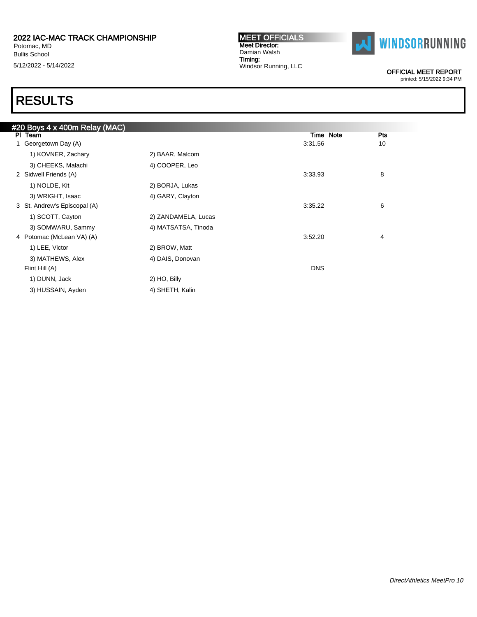Bullis School 5/12/2022 - 5/14/2022

#### MEET OFFICIALS Meet Director: Damian Walsh Timing: Windsor Running, LLC



OFFICIAL MEET REPORT

printed: 5/15/2022 9:34 PM

|                     | Time Note  | Pts |  |
|---------------------|------------|-----|--|
|                     | 3:31.56    | 10  |  |
| 2) BAAR, Malcom     |            |     |  |
| 4) COOPER, Leo      |            |     |  |
|                     | 3:33.93    | 8   |  |
| 2) BORJA, Lukas     |            |     |  |
| 4) GARY, Clayton    |            |     |  |
|                     | 3:35.22    | 6   |  |
| 2) ZANDAMELA, Lucas |            |     |  |
| 4) MATSATSA, Tinoda |            |     |  |
|                     | 3:52.20    | 4   |  |
| 2) BROW, Matt       |            |     |  |
| 4) DAIS, Donovan    |            |     |  |
|                     | <b>DNS</b> |     |  |
| 2) HO, Billy        |            |     |  |
| 4) SHETH, Kalin     |            |     |  |
|                     |            |     |  |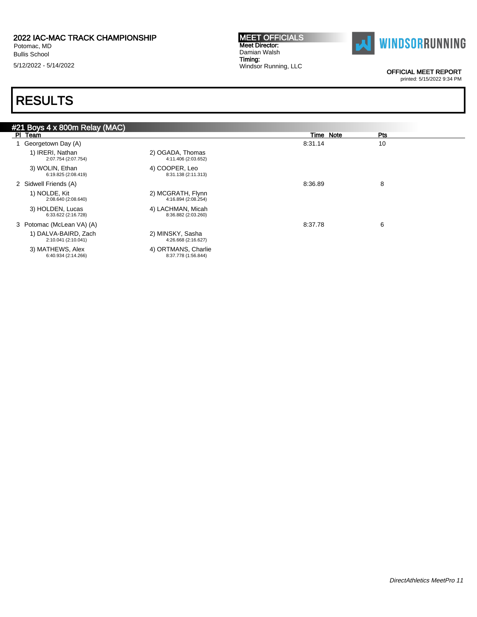Bullis School 5/12/2022 - 5/14/2022

#### MEET OFFICIALS Meet Director: Damian Walsh Timing: Windsor Running, LLC



OFFICIAL MEET REPORT

printed: 5/15/2022 9:34 PM

| #21 Boys 4 x 800m Relay (MAC)               |                                            |           |     |
|---------------------------------------------|--------------------------------------------|-----------|-----|
| PI Team                                     |                                            | Time Note | Pts |
| Georgetown Day (A)                          |                                            | 8:31.14   | 10  |
| 1) IRERI, Nathan<br>2:07.754 (2:07.754)     | 2) OGADA, Thomas<br>4:11.406 (2:03.652)    |           |     |
| 3) WOLIN, Ethan<br>6:19.825 (2:08.419)      | 4) COOPER, Leo<br>8:31.138 (2:11.313)      |           |     |
| 2 Sidwell Friends (A)                       |                                            | 8:36.89   | 8   |
| 1) NOLDE, Kit<br>2:08.640 (2:08.640)        | 2) MCGRATH, Flynn<br>4:16.894 (2:08.254)   |           |     |
| 3) HOLDEN, Lucas<br>6:33.622 (2:16.728)     | 4) LACHMAN, Micah<br>8:36.882 (2:03.260)   |           |     |
| 3 Potomac (McLean VA) (A)                   |                                            | 8:37.78   | 6   |
| 1) DALVA-BAIRD, Zach<br>2:10.041 (2:10.041) | 2) MINSKY, Sasha<br>4:26.668 (2:16.627)    |           |     |
| 3) MATHEWS, Alex<br>6:40.934 (2:14.266)     | 4) ORTMANS, Charlie<br>8:37.778 (1:56.844) |           |     |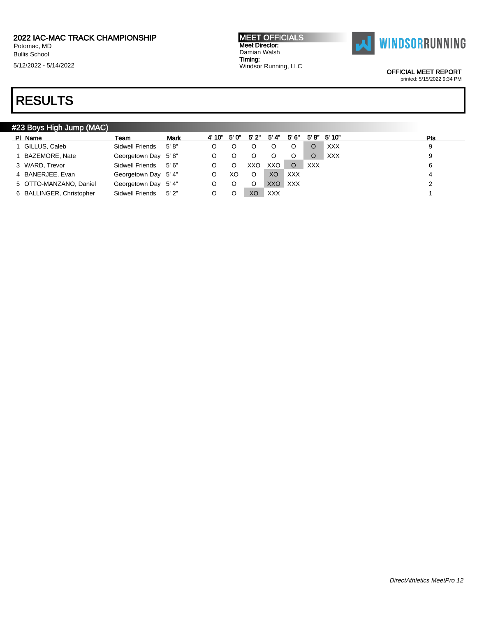Bullis School

5/12/2022 - 5/14/2022

MEET OFFICIALS Meet Director: Damian Walsh Timing: Windsor Running, LLC



OFFICIAL MEET REPORT

printed: 5/15/2022 9:34 PM

| #23 Boys High Jump (MAC) |                      |             |        |       |      |            |            |            |                  |     |
|--------------------------|----------------------|-------------|--------|-------|------|------------|------------|------------|------------------|-----|
| PI Name                  | Team                 | <b>Mark</b> | 4' 10" | 5' 0" | 5'2" | 5' 4"      | 5'6"       |            | $5'8''$ $5'10''$ | Pts |
| GILLUS, Caleb            | Sidwell Friends      | 5' 8''      | O      |       |      |            |            |            | <b>XXX</b>       | 9   |
| BAZEMORE, Nate           | Georgetown Day 5'8"  |             | O      |       | Ő    |            | O          |            | <b>XXX</b>       |     |
| 3 WARD, Trevor           | Sidwell Friends      | 5'6''       | O      |       | XXO  | XXO.       | $\circ$    | <b>XXX</b> |                  | 6   |
| 4 BANERJEE, Evan         | Georgetown Day 5'4"  |             |        | XO    | O    | XO         | <b>XXX</b> |            |                  |     |
| 5 OTTO-MANZANO, Daniel   | Georgetown Day 5' 4" |             | O      |       | O    | XXO        | <b>XXX</b> |            |                  |     |
| 6 BALLINGER, Christopher | Sidwell Friends      | 5'2"        | O      |       | XO   | <b>XXX</b> |            |            |                  |     |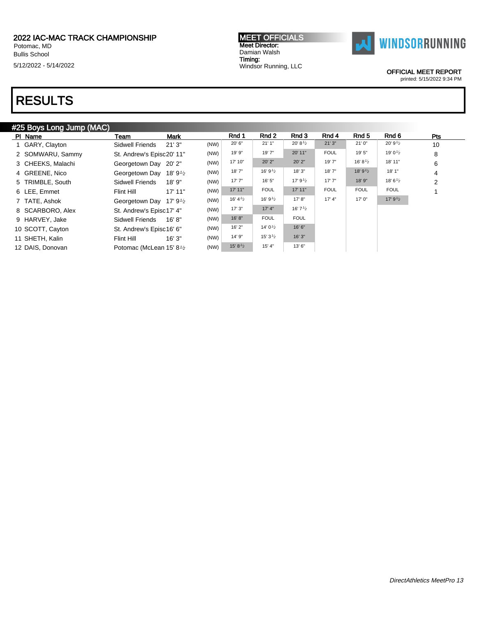Bullis School

5/12/2022 - 5/14/2022

### MEET OFFICIALS Meet Director: Damian Walsh Timing: Windsor Running, LLC



OFFICIAL MEET REPORT

printed: 5/15/2022 9:34 PM

| #25 Boys Long Jump (MAC) |
|--------------------------|
|--------------------------|

| PI Name           | <b>Mark</b><br>Team                               |      | Rnd 1              | Rnd 2               | Rnd 3                   | Rnd 4       | Rnd 5               | Rnd 6               | <b>Pts</b>     |
|-------------------|---------------------------------------------------|------|--------------------|---------------------|-------------------------|-------------|---------------------|---------------------|----------------|
| GARY, Clayton     | 21'3"<br>Sidwell Friends                          | (NW) | 20' 6"             | 21'1''              | $20' 8'$ <sup>1/2</sup> | 21'3''      | 21'0''              | 20' 9'2             | 10             |
| 2 SOMWARU, Sammy  | St. Andrew's Episc20' 11"                         | (NW) | 19' 9"             | 19' 7"              | 20' 11"                 | <b>FOUL</b> | 19' 5"              | 19' 0 $\frac{1}{2}$ | 8              |
| 3 CHEEKS, Malachi | Georgetown Day 20' 2"                             | (NW) | 17' 10"            | 20' 2"              | 20' 2"                  | 19'7"       | 16' 8 $\frac{1}{2}$ | 18' 11"             | 6              |
| 4 GREENE, Nico    | Georgetown Day 18' 9 <sup>1</sup> /2              | (NW) | 18'7''             | 16' 9 $\frac{1}{2}$ | 18' 3"                  | 18' 7"      | 18'9'2              | 18' 1"              | 4              |
| 5 TRIMBLE, South  | <b>Sidwell Friends</b><br>18'9''                  | (NW) | 17'7''             | 16' 5"              | 17' $9^{1/2}$           | 17'7''      | 18' 9"              | 18' $6\frac{1}{2}$  | $\overline{2}$ |
| 6 LEE, Emmet      | 17' 11"<br>Flint Hill                             | (NW) | 17' 11"            | <b>FOUL</b>         | 17' 11"                 | <b>FOUL</b> | <b>FOUL</b>         | <b>FOUL</b>         |                |
| 7 TATE, Ashok     | Georgetown Day 17' 9 <sup>1</sup> / <sub>2</sub>  | (NW) | 16' $4\frac{1}{2}$ | 16' 9 $\frac{1}{2}$ | 17' 8''                 | 17' 4"      | 17'0''              | 17' $9\frac{1}{2}$  |                |
| 8 SCARBORO, Alex  | St. Andrew's Episc17' 4"                          | (NW) | 17'3''             | 17' 4"              | 16' $7\frac{1}{2}$      |             |                     |                     |                |
| 9 HARVEY, Jake    | 16' 8''<br>Sidwell Friends                        | (NW) | 16' 8''            | <b>FOUL</b>         | <b>FOUL</b>             |             |                     |                     |                |
| 10 SCOTT, Cayton  | St. Andrew's Episc16' 6"                          | (NW) | 16'2"              | 14' $0\frac{1}{2}$  | 16' 6"                  |             |                     |                     |                |
| 11 SHETH, Kalin   | 16'3"<br>Flint Hill                               | (NW) | 14' 9"             | 15' 3 $\frac{1}{2}$ | 16'3''                  |             |                     |                     |                |
| 12 DAIS, Donovan  | Potomac (McLean 15' 8 <sup>1</sup> / <sub>2</sub> | (NW) | 15' 8'2            | 15' 4"              | 13' 6"                  |             |                     |                     |                |
|                   |                                                   |      |                    |                     |                         |             |                     |                     |                |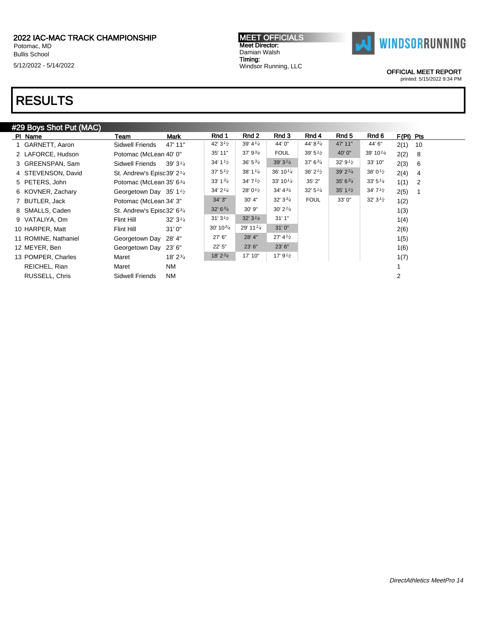Potomac, MD Bullis School 5/12/2022 - 5/14/2022

# RESULTS

### #29 Boys Shot Put (MAC)

| 10             |
|----------------|
|                |
| -8             |
| -6             |
| 4              |
| $\overline{2}$ |
|                |
|                |
|                |
|                |
|                |
|                |
|                |
|                |
|                |
|                |
|                |

MEET OFFICIALS Meet Director: Damian Walsh Timing: Windsor Running, LLC

OFFICIAL MEET REPORT printed: 5/15/2022 9:34 PM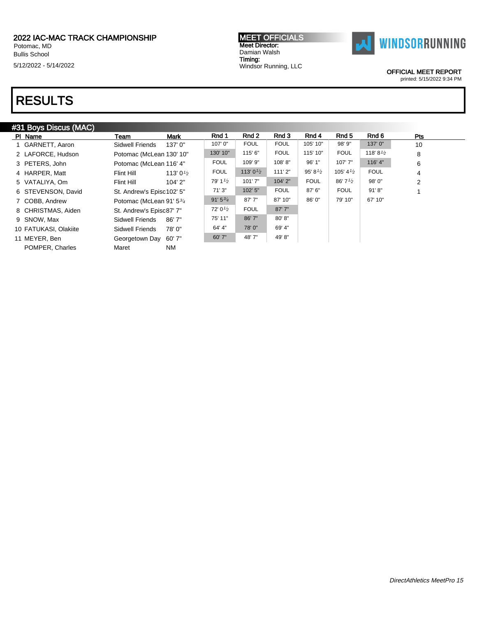Potomac, MD Bullis School

5/12/2022 - 5/14/2022

#### MEET OFFICIALS Meet Director: Damian Walsh Timing: Windsor Running, LLC



OFFICIAL MEET REPORT

printed: 5/15/2022 9:34 PM

## RESULTS

### #31 Boys Discus (MAC)

| PI Name               | <b>Mark</b><br>Team                | Rnd 1               | Rnd 2                | Rnd 3       | Rnd 4               | Rnd 5                | Rnd 6                | Pts            |
|-----------------------|------------------------------------|---------------------|----------------------|-------------|---------------------|----------------------|----------------------|----------------|
| GARNETT, Aaron        | Sidwell Friends<br>137'0"          | 107'0"              | <b>FOUL</b>          | <b>FOUL</b> | 105' 10"            | 98' 9"               | 137'0"               | 10             |
| 2 LAFORCE, Hudson     | Potomac (McLean 130' 10"           | 130' 10"            | 115' 6"              | <b>FOUL</b> | 115' 10"            | <b>FOUL</b>          | 118' 8 $\frac{1}{2}$ | 8              |
| 3 PETERS, John        | Potomac (McLean 116' 4"            | <b>FOUL</b>         | 109' 9"              | 108'8"      | 96' 1"              | 107'7"               | 116' 4"              | 6              |
| 4 HARPER, Matt        | Flint Hill<br>113' 0 $\frac{1}{2}$ | <b>FOUL</b>         | 113' 0 $\frac{1}{2}$ | 111'2"      | 95' 8 $\frac{1}{2}$ | 105' 4 $\frac{1}{2}$ | <b>FOUL</b>          | 4              |
| 5 VATALIYA, Om        | 104'2"<br>Flint Hill               | 79' 1 $\frac{1}{2}$ | 101'7''              | 104' 2"     | <b>FOUL</b>         | 86'7'2               | 98'0"                | $\overline{2}$ |
| 6 STEVENSON, David    | St. Andrew's Episc102' 5"          | 71'3"               | 102' 5"              | <b>FOUL</b> | 87' 6"              | <b>FOUL</b>          | 91' 8''              |                |
| 7 COBB, Andrew        | Potomac (McLean 91' 53/4           | $91'5^{3/4}$        | 87'7''               | 87' 10"     | 86' 0"              | 79' 10"              | 67' 10"              |                |
| 8 CHRISTMAS, Aiden    | St. Andrew's Episc87' 7"           | $72'0\frac{1}{2}$   | <b>FOUL</b>          | 87'7"       |                     |                      |                      |                |
| 9 SNOW, Max           | Sidwell Friends<br>86' 7"          | 75' 11"             | 86'7"                | 80'8"       |                     |                      |                      |                |
| 10 FATUKASI, Olakiite | Sidwell Friends<br>78'0"           | 64' 4"              | 78'0"                | 69' 4"      |                     |                      |                      |                |
| 11 MEYER, Ben         | Georgetown Day 60' 7"              | 60' 7"              | 48' 7"               | 49'8"       |                     |                      |                      |                |
| POMPER, Charles       | NM<br>Maret                        |                     |                      |             |                     |                      |                      |                |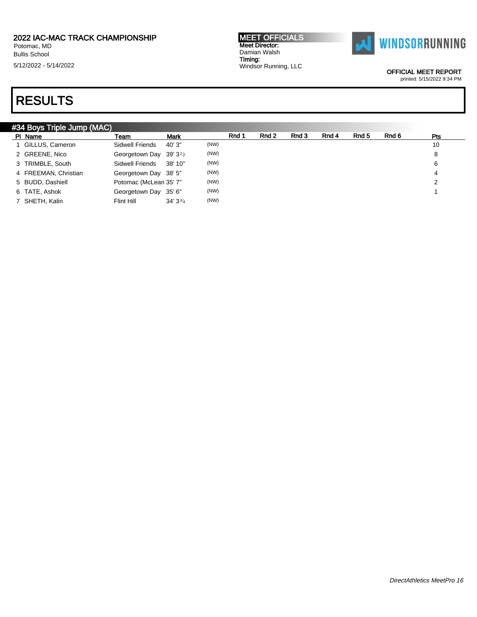Bullis School

5/12/2022 - 5/14/2022

#### MEET OFFICIALS Meet Director: Damian Walsh Timing: Windsor Running, LLC



OFFICIAL MEET REPORT

printed: 5/15/2022 9:34 PM

| #34 Boys Triple Jump (MAC) |                                                  |                   |      |       |       |       |       |       |       |     |
|----------------------------|--------------------------------------------------|-------------------|------|-------|-------|-------|-------|-------|-------|-----|
| PI Name                    | Team                                             | <b>Mark</b>       |      | Rnd 1 | Rnd 2 | Rnd 3 | Rnd 4 | Rnd 5 | Rnd 6 | Pts |
| 1 GILLUS, Cameron          | Sidwell Friends                                  | 40'3"             | (NW) |       |       |       |       |       |       | 10  |
| 2 GREENE, Nico             | Georgetown Day 39' 3 <sup>1</sup> / <sub>2</sub> |                   | (NW) |       |       |       |       |       |       | 8   |
| 3 TRIMBLE, South           | Sidwell Friends                                  | 38' 10"           | (NW) |       |       |       |       |       |       | 6   |
| 4 FREEMAN, Christian       | Georgetown Day 38' 5"                            |                   | (NW) |       |       |       |       |       |       | 4   |
| 5 BUDD, Dashiell           | Potomac (McLean 35' 7"                           |                   | (NW) |       |       |       |       |       |       | 2   |
| 6 TATE, Ashok              | Georgetown Day 35' 6"                            |                   | (NW) |       |       |       |       |       |       |     |
| 7 SHETH, Kalin             | Flint Hill                                       | $34'3\frac{3}{4}$ | (NW) |       |       |       |       |       |       |     |